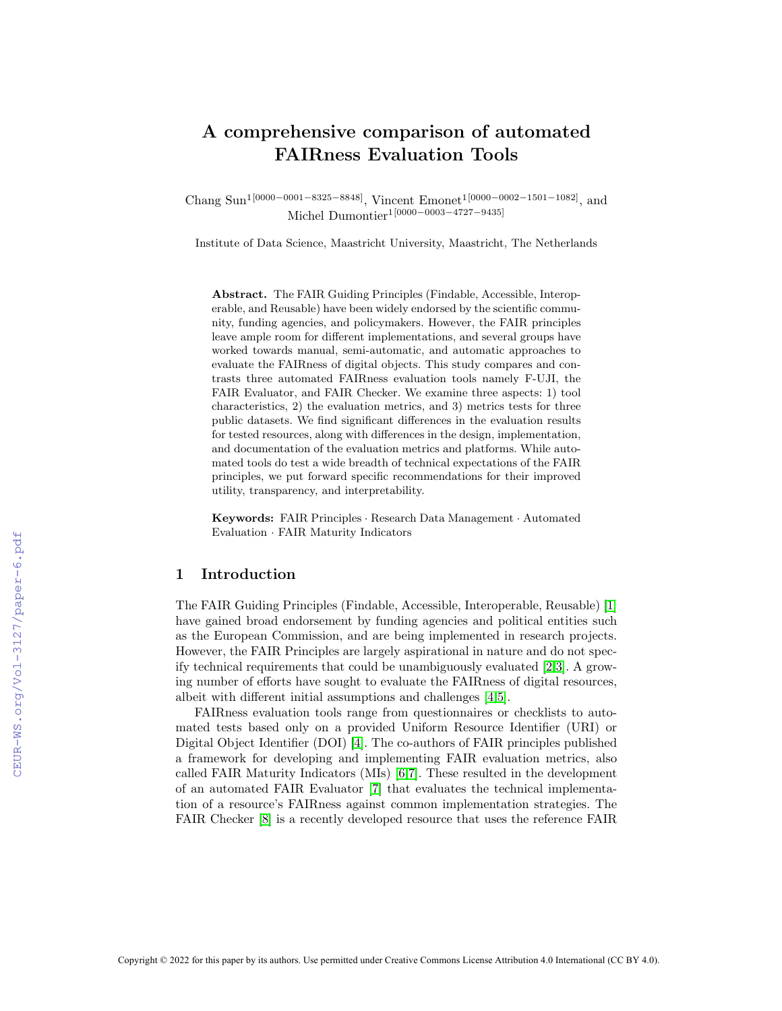# A comprehensive comparison of automated FAIRness Evaluation Tools

Chang Sun<sup>1[0000–0001–8325–8848]</sup>, Vincent Emonet<sup>1[0000–0002–1501–1082]</sup>, and Michel Dumontier1[0000−0003−4727−9435]

Institute of Data Science, Maastricht University, Maastricht, The Netherlands

Abstract. The FAIR Guiding Principles (Findable, Accessible, Interoperable, and Reusable) have been widely endorsed by the scientific community, funding agencies, and policymakers. However, the FAIR principles leave ample room for different implementations, and several groups have worked towards manual, semi-automatic, and automatic approaches to evaluate the FAIRness of digital objects. This study compares and contrasts three automated FAIRness evaluation tools namely F-UJI, the FAIR Evaluator, and FAIR Checker. We examine three aspects: 1) tool characteristics, 2) the evaluation metrics, and 3) metrics tests for three public datasets. We find significant differences in the evaluation results for tested resources, along with differences in the design, implementation, and documentation of the evaluation metrics and platforms. While automated tools do test a wide breadth of technical expectations of the FAIR principles, we put forward specific recommendations for their improved utility, transparency, and interpretability.

Keywords: FAIR Principles · Research Data Management · Automated Evaluation · FAIR Maturity Indicators

# 1 Introduction

The FAIR Guiding Principles (Findable, Accessible, Interoperable, Reusable) [\[1\]](#page--1-0) have gained broad endorsement by funding agencies and political entities such as the European Commission, and are being implemented in research projects. However, the FAIR Principles are largely aspirational in nature and do not specify technical requirements that could be unambiguously evaluated [\[2,](#page--1-1)[3\]](#page--1-2). A growing number of efforts have sought to evaluate the FAIRness of digital resources, albeit with different initial assumptions and challenges [\[4,](#page--1-3)[5\]](#page--1-4).

FAIRness evaluation tools range from questionnaires or checklists to automated tests based only on a provided Uniform Resource Identifier (URI) or Digital Object Identifier (DOI) [\[4\]](#page--1-3). The co-authors of FAIR principles published a framework for developing and implementing FAIR evaluation metrics, also called FAIR Maturity Indicators (MIs) [\[6,](#page--1-5)[7\]](#page--1-6). These resulted in the development of an automated FAIR Evaluator [\[7\]](#page--1-6) that evaluates the technical implementation of a resource's FAIRness against common implementation strategies. The FAIR Checker [\[8\]](#page--1-7) is a recently developed resource that uses the reference FAIR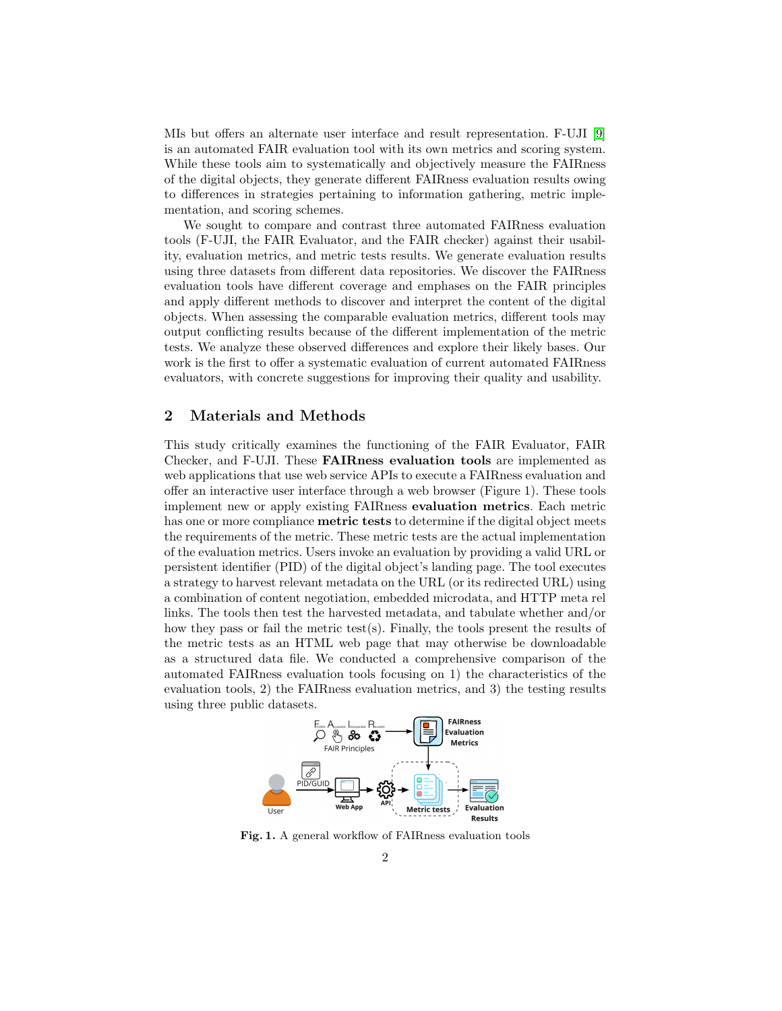MIs but offers an alternate user interface and result representation. F-UJI [\[9\]](#page-9-0) is an automated FAIR evaluation tool with its own metrics and scoring system. While these tools aim to systematically and objectively measure the FAIRness of the digital objects, they generate different FAIRness evaluation results owing to differences in strategies pertaining to information gathering, metric implementation, and scoring schemes.

We sought to compare and contrast three automated FAIRness evaluation tools (F-UJI, the FAIR Evaluator, and the FAIR checker) against their usability, evaluation metrics, and metric tests results. We generate evaluation results using three datasets from different data repositories. We discover the FAIRness evaluation tools have different coverage and emphases on the FAIR principles and apply different methods to discover and interpret the content of the digital objects. When assessing the comparable evaluation metrics, different tools may output conflicting results because of the different implementation of the metric tests. We analyze these observed differences and explore their likely bases. Our work is the first to offer a systematic evaluation of current automated FAIRness evaluators, with concrete suggestions for improving their quality and usability.

# 2 Materials and Methods

This study critically examines the functioning of the FAIR Evaluator, FAIR Checker, and F-UJI. These FAIRness evaluation tools are implemented as web applications that use web service APIs to execute a FAIRness evaluation and offer an interactive user interface through a web browser (Figure 1). These tools implement new or apply existing FAIRness evaluation metrics. Each metric has one or more compliance **metric tests** to determine if the digital object meets the requirements of the metric. These metric tests are the actual implementation of the evaluation metrics. Users invoke an evaluation by providing a valid URL or persistent identifier (PID) of the digital object's landing page. The tool executes a strategy to harvest relevant metadata on the URL (or its redirected URL) using a combination of content negotiation, embedded microdata, and HTTP meta rel links. The tools then test the harvested metadata, and tabulate whether and/or how they pass or fail the metric test(s). Finally, the tools present the results of the metric tests as an HTML web page that may otherwise be downloadable as a structured data file. We conducted a comprehensive comparison of the automated FAIRness evaluation tools focusing on 1) the characteristics of the evaluation tools, 2) the FAIRness evaluation metrics, and 3) the testing results using three public datasets.



Fig. 1. A general workflow of FAIRness evaluation tools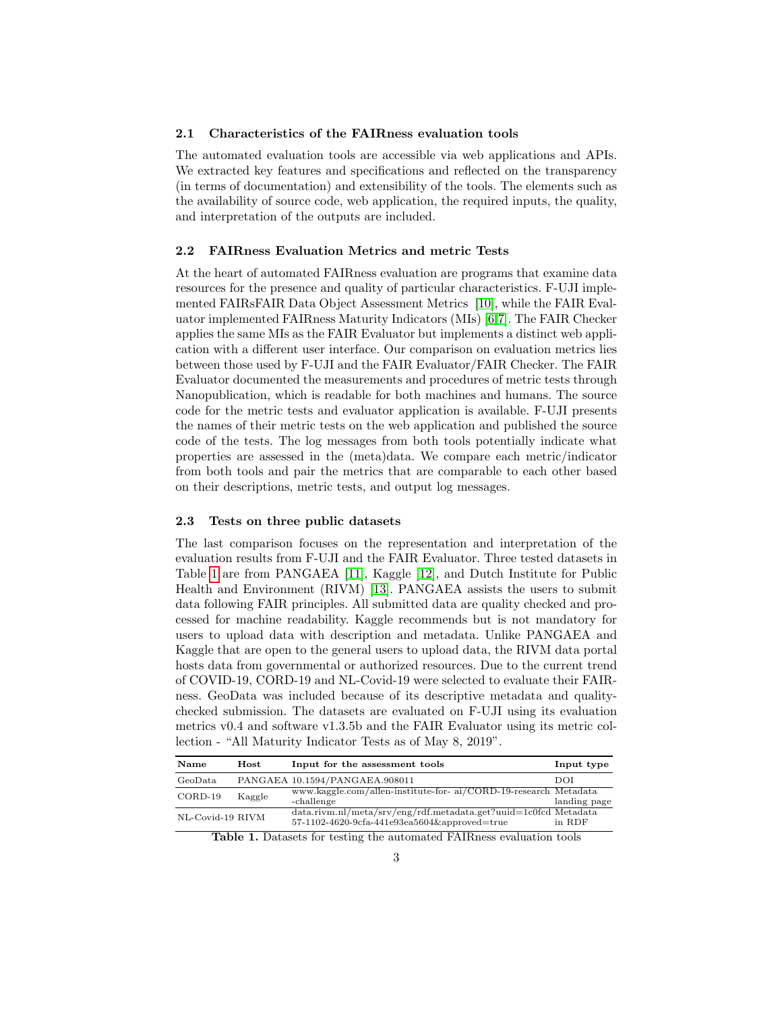## 2.1 Characteristics of the FAIRness evaluation tools

The automated evaluation tools are accessible via web applications and APIs. We extracted key features and specifications and reflected on the transparency (in terms of documentation) and extensibility of the tools. The elements such as the availability of source code, web application, the required inputs, the quality, and interpretation of the outputs are included.

#### 2.2 FAIRness Evaluation Metrics and metric Tests

At the heart of automated FAIRness evaluation are programs that examine data resources for the presence and quality of particular characteristics. F-UJI implemented FAIRsFAIR Data Object Assessment Metrics [\[10\]](#page-9-1), while the FAIR Evaluator implemented FAIRness Maturity Indicators (MIs) [\[6,](#page-9-2)[7\]](#page-9-3). The FAIR Checker applies the same MIs as the FAIR Evaluator but implements a distinct web application with a different user interface. Our comparison on evaluation metrics lies between those used by F-UJI and the FAIR Evaluator/FAIR Checker. The FAIR Evaluator documented the measurements and procedures of metric tests through Nanopublication, which is readable for both machines and humans. The source code for the metric tests and evaluator application is available. F-UJI presents the names of their metric tests on the web application and published the source code of the tests. The log messages from both tools potentially indicate what properties are assessed in the (meta)data. We compare each metric/indicator from both tools and pair the metrics that are comparable to each other based on their descriptions, metric tests, and output log messages.

#### 2.3 Tests on three public datasets

The last comparison focuses on the representation and interpretation of the evaluation results from F-UJI and the FAIR Evaluator. Three tested datasets in Table [1](#page-2-0) are from PANGAEA [\[11\]](#page-9-4), Kaggle [\[12\]](#page-9-5), and Dutch Institute for Public Health and Environment (RIVM) [\[13\]](#page-9-6). PANGAEA assists the users to submit data following FAIR principles. All submitted data are quality checked and processed for machine readability. Kaggle recommends but is not mandatory for users to upload data with description and metadata. Unlike PANGAEA and Kaggle that are open to the general users to upload data, the RIVM data portal hosts data from governmental or authorized resources. Due to the current trend of COVID-19, CORD-19 and NL-Covid-19 were selected to evaluate their FAIRness. GeoData was included because of its descriptive metadata and qualitychecked submission. The datasets are evaluated on F-UJI using its evaluation metrics v0.4 and software v1.3.5b and the FAIR Evaluator using its metric collection - "All Maturity Indicator Tests as of May 8, 2019".

| Name             | $\bold{Host}$ | Input for the assessment tools                                                                                        | Input type   |
|------------------|---------------|-----------------------------------------------------------------------------------------------------------------------|--------------|
| GeoData          |               | PANGAEA 10.1594/PANGAEA.908011                                                                                        | DOI          |
| $CORD-19$        | Kaggle        | www.kaggle.com/allen-institute-for- ai/CORD-19-research Metadata<br>-challenge                                        | landing page |
| NL-Covid-19 RIVM |               | $data.$ rivm.nl/meta/srv/eng/rdf.metadata.get?uuid=1c0fcd Metadata<br>$57-1102-4620-9cfa-441e93ea5604\&approved=true$ | in RDF       |

<span id="page-2-0"></span>Table 1. Datasets for testing the automated FAIRness evaluation tools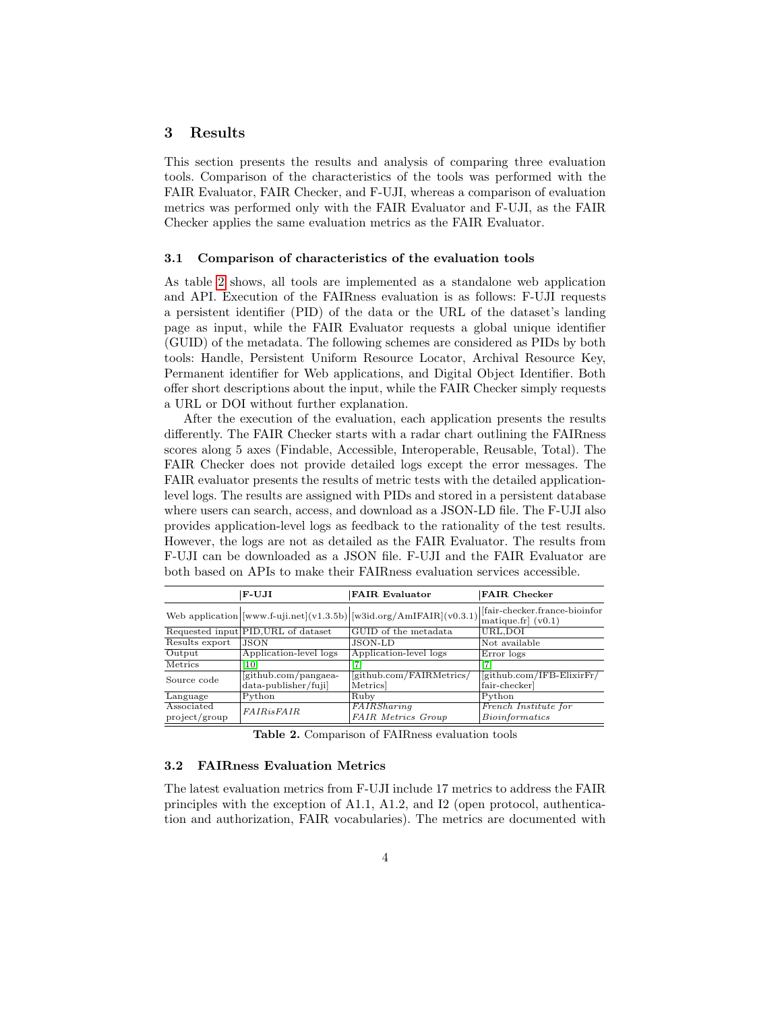# 3 Results

This section presents the results and analysis of comparing three evaluation tools. Comparison of the characteristics of the tools was performed with the FAIR Evaluator, FAIR Checker, and F-UJI, whereas a comparison of evaluation metrics was performed only with the FAIR Evaluator and F-UJI, as the FAIR Checker applies the same evaluation metrics as the FAIR Evaluator.

#### 3.1 Comparison of characteristics of the evaluation tools

As table [2](#page-3-0) shows, all tools are implemented as a standalone web application and API. Execution of the FAIRness evaluation is as follows: F-UJI requests a persistent identifier (PID) of the data or the URL of the dataset's landing page as input, while the FAIR Evaluator requests a global unique identifier (GUID) of the metadata. The following schemes are considered as PIDs by both tools: Handle, Persistent Uniform Resource Locator, Archival Resource Key, Permanent identifier for Web applications, and Digital Object Identifier. Both offer short descriptions about the input, while the FAIR Checker simply requests a URL or DOI without further explanation.

After the execution of the evaluation, each application presents the results differently. The FAIR Checker starts with a radar chart outlining the FAIRness scores along 5 axes (Findable, Accessible, Interoperable, Reusable, Total). The FAIR Checker does not provide detailed logs except the error messages. The FAIR evaluator presents the results of metric tests with the detailed applicationlevel logs. The results are assigned with PIDs and stored in a persistent database where users can search, access, and download as a JSON-LD file. The F-UJI also provides application-level logs as feedback to the rationality of the test results. However, the logs are not as detailed as the FAIR Evaluator. The results from F-UJI can be downloaded as a JSON file. F-UJI and the FAIR Evaluator are both based on APIs to make their FAIRness evaluation services accessible.

|                             | F-UJI                                         | <b>FAIR Evaluator</b>                                                  | <b>FAIR Checker</b>                                                 |
|-----------------------------|-----------------------------------------------|------------------------------------------------------------------------|---------------------------------------------------------------------|
|                             |                                               | Web application $ [www.f-uji.net](v1.3.5b) [w3id.org/AmIFAIR](v0.3.1)$ | [fair-checker.france-bioinfor]<br>$\vert$ matique.fr $\vert$ (v0.1) |
|                             | Requested input PID, URL of dataset           | GUID of the metadata                                                   | URL, DOI                                                            |
| Results export              | <b>JSON</b>                                   | JSON-LD                                                                | Not available                                                       |
| Output                      | Application-level logs                        | Application-level logs                                                 | Error logs                                                          |
| Metrics                     | 10 <sup>1</sup>                               |                                                                        |                                                                     |
| Source code                 | [github.com/pangaea-<br>$data-publisher/fuji$ | [github.com/FAIRMetrics/<br><b>Metrics</b>                             | [github.com/IFB-ElixirFr/<br>fair-checker]                          |
| Language                    | Python                                        | Ruby                                                                   | $\overline{\text{Python}}$                                          |
| Associated<br>project/group | <b>FAIRisFAIR</b>                             | FAIRSharing<br><b>FAIR Metrics Group</b>                               | French Institute for<br><b>Bioinformatics</b>                       |

Table 2. Comparison of FAIRness evaluation tools

## <span id="page-3-0"></span>3.2 FAIRness Evaluation Metrics

The latest evaluation metrics from F-UJI include 17 metrics to address the FAIR principles with the exception of A1.1, A1.2, and I2 (open protocol, authentication and authorization, FAIR vocabularies). The metrics are documented with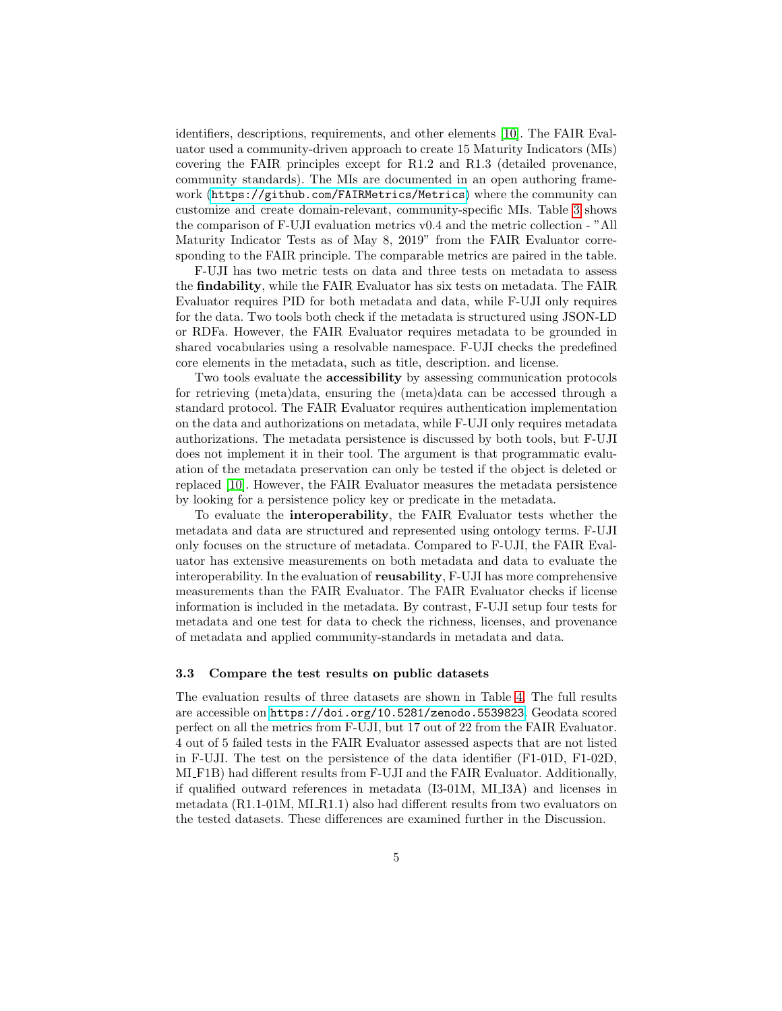identifiers, descriptions, requirements, and other elements [\[10\]](#page-9-1). The FAIR Evaluator used a community-driven approach to create 15 Maturity Indicators (MIs) covering the FAIR principles except for R1.2 and R1.3 (detailed provenance, community standards). The MIs are documented in an open authoring framework (<https://github.com/FAIRMetrics/Metrics>) where the community can customize and create domain-relevant, community-specific MIs. Table [3](#page-5-0) shows the comparison of F-UJI evaluation metrics v0.4 and the metric collection - "All Maturity Indicator Tests as of May 8, 2019" from the FAIR Evaluator corresponding to the FAIR principle. The comparable metrics are paired in the table.

F-UJI has two metric tests on data and three tests on metadata to assess the findability, while the FAIR Evaluator has six tests on metadata. The FAIR Evaluator requires PID for both metadata and data, while F-UJI only requires for the data. Two tools both check if the metadata is structured using JSON-LD or RDFa. However, the FAIR Evaluator requires metadata to be grounded in shared vocabularies using a resolvable namespace. F-UJI checks the predefined core elements in the metadata, such as title, description. and license.

Two tools evaluate the accessibility by assessing communication protocols for retrieving (meta)data, ensuring the (meta)data can be accessed through a standard protocol. The FAIR Evaluator requires authentication implementation on the data and authorizations on metadata, while F-UJI only requires metadata authorizations. The metadata persistence is discussed by both tools, but F-UJI does not implement it in their tool. The argument is that programmatic evaluation of the metadata preservation can only be tested if the object is deleted or replaced [\[10\]](#page-9-1). However, the FAIR Evaluator measures the metadata persistence by looking for a persistence policy key or predicate in the metadata.

To evaluate the interoperability, the FAIR Evaluator tests whether the metadata and data are structured and represented using ontology terms. F-UJI only focuses on the structure of metadata. Compared to F-UJI, the FAIR Evaluator has extensive measurements on both metadata and data to evaluate the interoperability. In the evaluation of reusability, F-UJI has more comprehensive measurements than the FAIR Evaluator. The FAIR Evaluator checks if license information is included in the metadata. By contrast, F-UJI setup four tests for metadata and one test for data to check the richness, licenses, and provenance of metadata and applied community-standards in metadata and data.

#### 3.3 Compare the test results on public datasets

The evaluation results of three datasets are shown in Table [4.](#page-6-0) The full results are accessible on <https://doi.org/10.5281/zenodo.5539823>. Geodata scored perfect on all the metrics from F-UJI, but 17 out of 22 from the FAIR Evaluator. 4 out of 5 failed tests in the FAIR Evaluator assessed aspects that are not listed in F-UJI. The test on the persistence of the data identifier (F1-01D, F1-02D, MI F1B) had different results from F-UJI and the FAIR Evaluator. Additionally, if qualified outward references in metadata (I3-01M, MI I3A) and licenses in metadata  $(R1.1-01M, MI\_R1.1)$  also had different results from two evaluators on the tested datasets. These differences are examined further in the Discussion.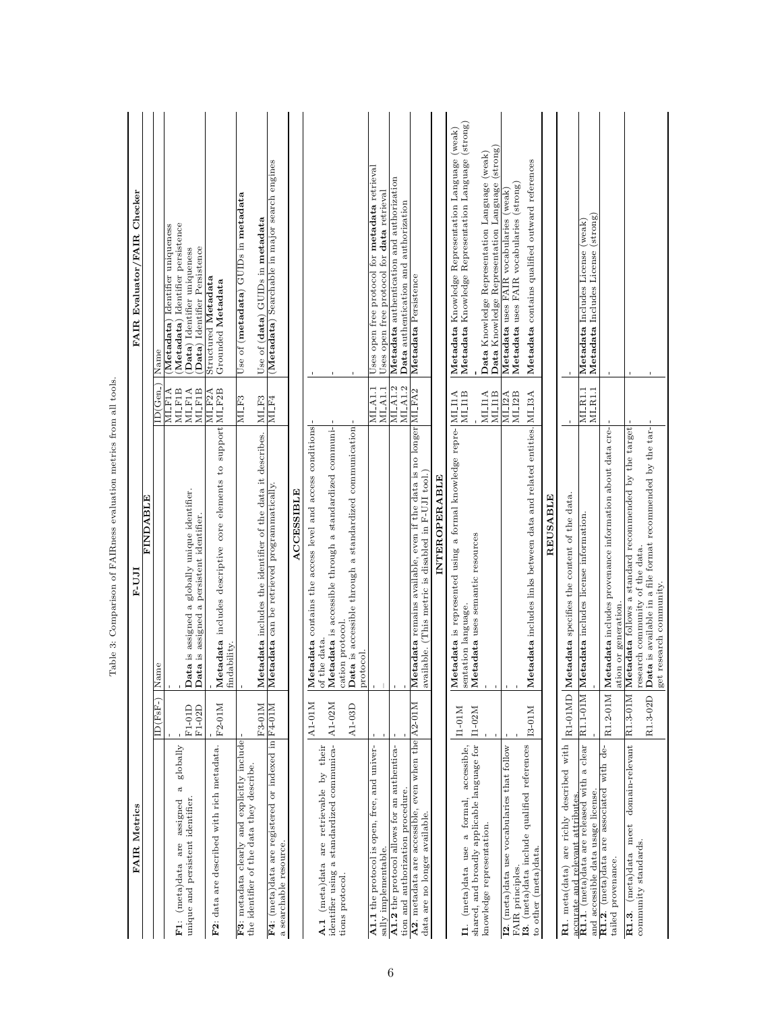<span id="page-5-0"></span>Table 3: Comparison of FAIRness evaluation metrics from all tools. Table 3: Comparison of FAIRness evaluation metrics from all tools.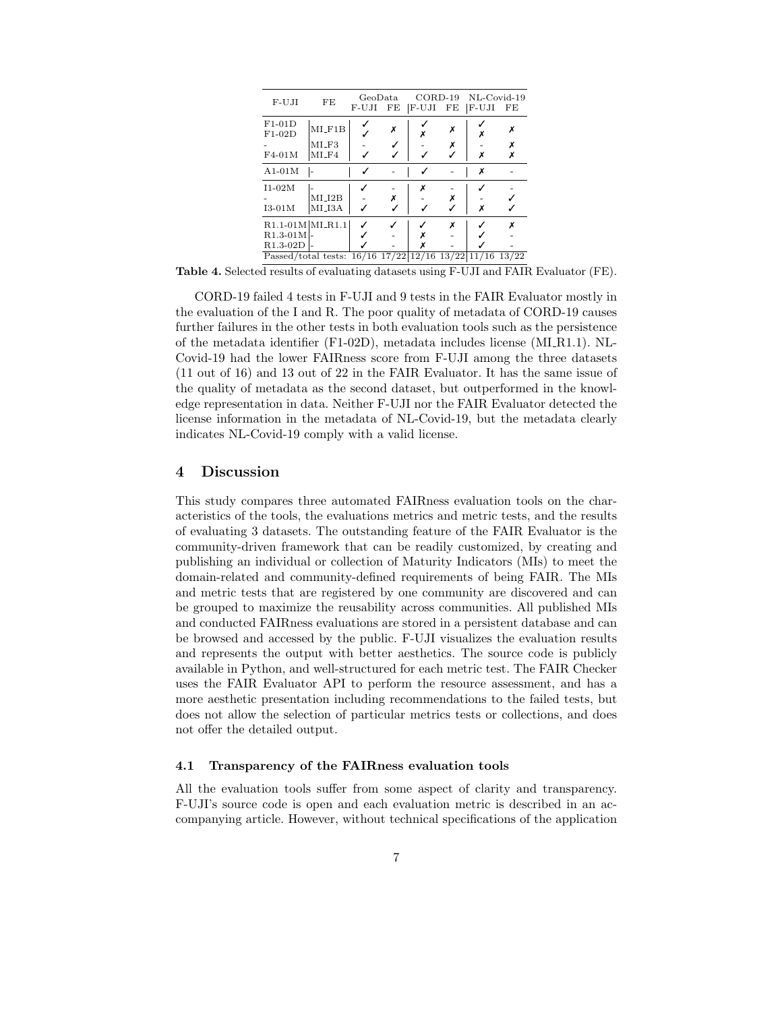<span id="page-6-0"></span>

| F-UJI                                                                                      | FE                          | GeoData<br>F-UJI | FE | $CORD-19$<br>$ F-UJI $ | FE     | NL-Covid-19<br> F-UJI | FE         |
|--------------------------------------------------------------------------------------------|-----------------------------|------------------|----|------------------------|--------|-----------------------|------------|
| $F1-01D$<br>$F1-02D$<br>$F4-01M$                                                           | $MI_F1B$<br>MLF3<br>$MI_F4$ |                  |    |                        | X<br>Х | Х                     |            |
| $A1-01M$                                                                                   |                             |                  |    |                        |        | Х                     |            |
| $I1-02M$<br>$I3-01M$                                                                       | $MI_12B$<br>MI_I3A          |                  | х  | Х                      | X      | x                     |            |
| $R1.1-01M$ $MLR1.1$<br>$R1.3-01M$<br>$R1.3-02D$<br>Passed/total tests: $16/16$ 17/22 12/16 |                             |                  |    |                        | x      | $13/22$  11/16        | x<br>13/22 |

Table 4. Selected results of evaluating datasets using F-UJI and FAIR Evaluator (FE).

CORD-19 failed 4 tests in F-UJI and 9 tests in the FAIR Evaluator mostly in the evaluation of the I and R. The poor quality of metadata of CORD-19 causes further failures in the other tests in both evaluation tools such as the persistence of the metadata identifier (F1-02D), metadata includes license (MI R1.1). NL-Covid-19 had the lower FAIRness score from F-UJI among the three datasets (11 out of 16) and 13 out of 22 in the FAIR Evaluator. It has the same issue of the quality of metadata as the second dataset, but outperformed in the knowledge representation in data. Neither F-UJI nor the FAIR Evaluator detected the license information in the metadata of NL-Covid-19, but the metadata clearly indicates NL-Covid-19 comply with a valid license.

## 4 Discussion

This study compares three automated FAIRness evaluation tools on the characteristics of the tools, the evaluations metrics and metric tests, and the results of evaluating 3 datasets. The outstanding feature of the FAIR Evaluator is the community-driven framework that can be readily customized, by creating and publishing an individual or collection of Maturity Indicators (MIs) to meet the domain-related and community-defined requirements of being FAIR. The MIs and metric tests that are registered by one community are discovered and can be grouped to maximize the reusability across communities. All published MIs and conducted FAIRness evaluations are stored in a persistent database and can be browsed and accessed by the public. F-UJI visualizes the evaluation results and represents the output with better aesthetics. The source code is publicly available in Python, and well-structured for each metric test. The FAIR Checker uses the FAIR Evaluator API to perform the resource assessment, and has a more aesthetic presentation including recommendations to the failed tests, but does not allow the selection of particular metrics tests or collections, and does not offer the detailed output.

## 4.1 Transparency of the FAIRness evaluation tools

All the evaluation tools suffer from some aspect of clarity and transparency. F-UJI's source code is open and each evaluation metric is described in an accompanying article. However, without technical specifications of the application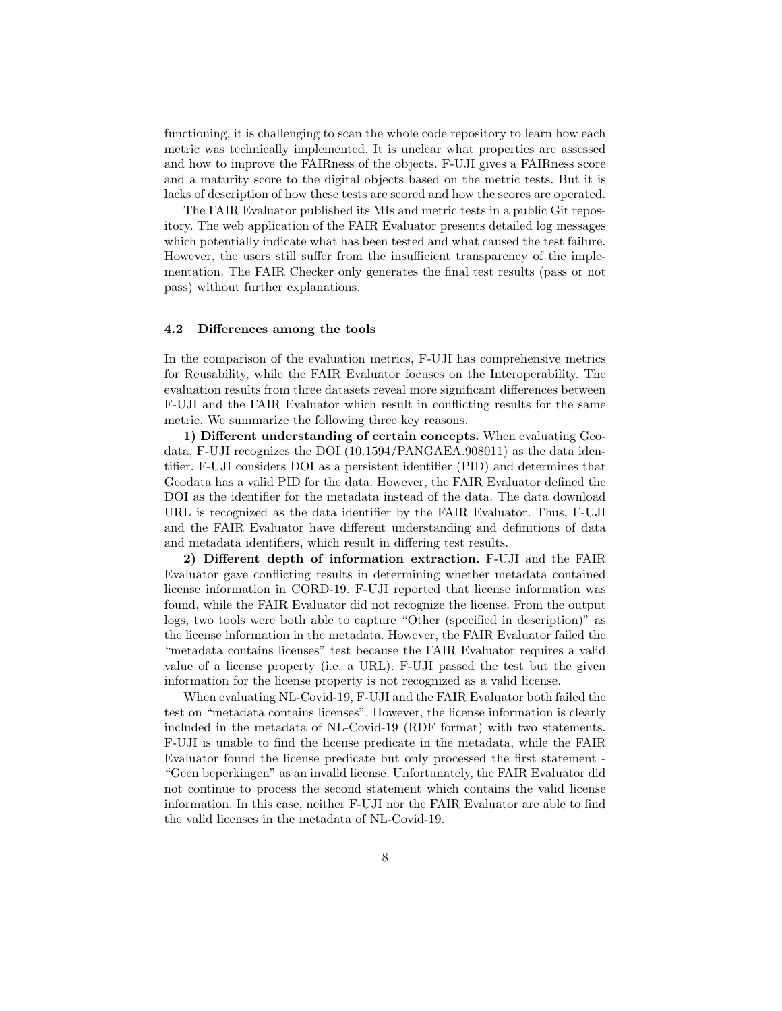functioning, it is challenging to scan the whole code repository to learn how each metric was technically implemented. It is unclear what properties are assessed and how to improve the FAIRness of the objects. F-UJI gives a FAIRness score and a maturity score to the digital objects based on the metric tests. But it is lacks of description of how these tests are scored and how the scores are operated.

The FAIR Evaluator published its MIs and metric tests in a public Git repository. The web application of the FAIR Evaluator presents detailed log messages which potentially indicate what has been tested and what caused the test failure. However, the users still suffer from the insufficient transparency of the implementation. The FAIR Checker only generates the final test results (pass or not pass) without further explanations.

## 4.2 Differences among the tools

In the comparison of the evaluation metrics, F-UJI has comprehensive metrics for Reusability, while the FAIR Evaluator focuses on the Interoperability. The evaluation results from three datasets reveal more significant differences between F-UJI and the FAIR Evaluator which result in conflicting results for the same metric. We summarize the following three key reasons.

1) Different understanding of certain concepts. When evaluating Geodata, F-UJI recognizes the DOI (10.1594/PANGAEA.908011) as the data identifier. F-UJI considers DOI as a persistent identifier (PID) and determines that Geodata has a valid PID for the data. However, the FAIR Evaluator defined the DOI as the identifier for the metadata instead of the data. The data download URL is recognized as the data identifier by the FAIR Evaluator. Thus, F-UJI and the FAIR Evaluator have different understanding and definitions of data and metadata identifiers, which result in differing test results.

2) Different depth of information extraction. F-UJI and the FAIR Evaluator gave conflicting results in determining whether metadata contained license information in CORD-19. F-UJI reported that license information was found, while the FAIR Evaluator did not recognize the license. From the output logs, two tools were both able to capture "Other (specified in description)" as the license information in the metadata. However, the FAIR Evaluator failed the "metadata contains licenses" test because the FAIR Evaluator requires a valid value of a license property (i.e. a URL). F-UJI passed the test but the given information for the license property is not recognized as a valid license.

When evaluating NL-Covid-19, F-UJI and the FAIR Evaluator both failed the test on "metadata contains licenses". However, the license information is clearly included in the metadata of NL-Covid-19 (RDF format) with two statements. F-UJI is unable to find the license predicate in the metadata, while the FAIR Evaluator found the license predicate but only processed the first statement - "Geen beperkingen" as an invalid license. Unfortunately, the FAIR Evaluator did not continue to process the second statement which contains the valid license information. In this case, neither F-UJI nor the FAIR Evaluator are able to find the valid licenses in the metadata of NL-Covid-19.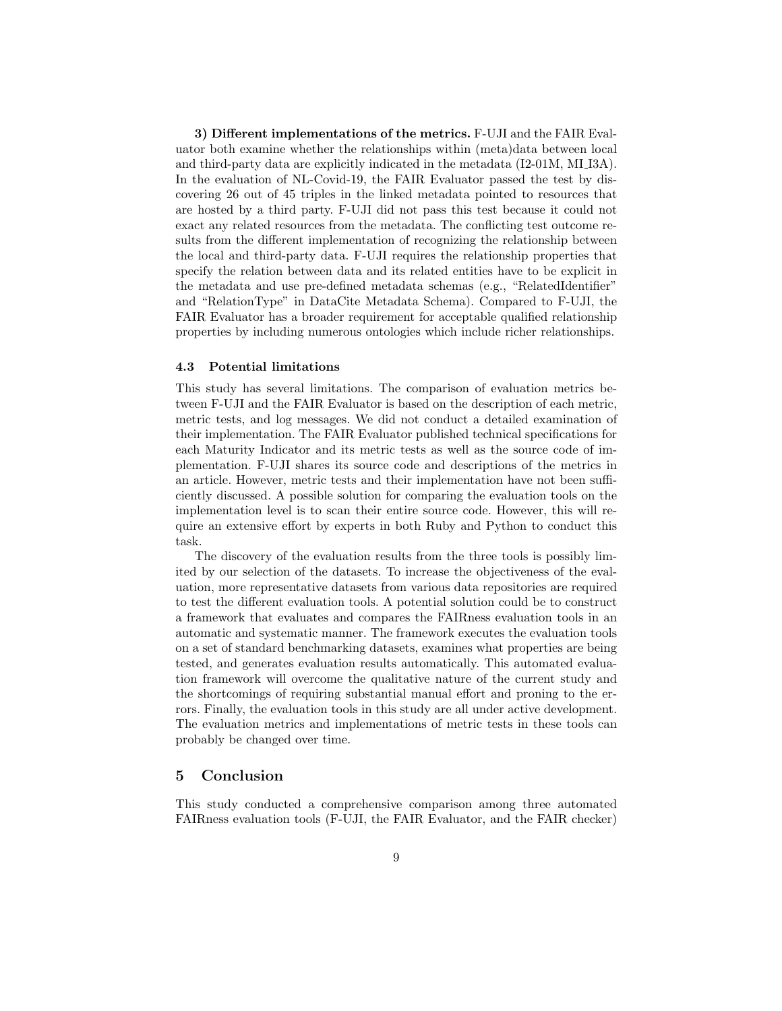3) Different implementations of the metrics. F-UJI and the FAIR Evaluator both examine whether the relationships within (meta)data between local and third-party data are explicitly indicated in the metadata (I2-01M, MI I3A). In the evaluation of NL-Covid-19, the FAIR Evaluator passed the test by discovering 26 out of 45 triples in the linked metadata pointed to resources that are hosted by a third party. F-UJI did not pass this test because it could not exact any related resources from the metadata. The conflicting test outcome results from the different implementation of recognizing the relationship between the local and third-party data. F-UJI requires the relationship properties that specify the relation between data and its related entities have to be explicit in the metadata and use pre-defined metadata schemas (e.g., "RelatedIdentifier" and "RelationType" in DataCite Metadata Schema). Compared to F-UJI, the FAIR Evaluator has a broader requirement for acceptable qualified relationship properties by including numerous ontologies which include richer relationships.

#### 4.3 Potential limitations

This study has several limitations. The comparison of evaluation metrics between F-UJI and the FAIR Evaluator is based on the description of each metric, metric tests, and log messages. We did not conduct a detailed examination of their implementation. The FAIR Evaluator published technical specifications for each Maturity Indicator and its metric tests as well as the source code of implementation. F-UJI shares its source code and descriptions of the metrics in an article. However, metric tests and their implementation have not been sufficiently discussed. A possible solution for comparing the evaluation tools on the implementation level is to scan their entire source code. However, this will require an extensive effort by experts in both Ruby and Python to conduct this task.

The discovery of the evaluation results from the three tools is possibly limited by our selection of the datasets. To increase the objectiveness of the evaluation, more representative datasets from various data repositories are required to test the different evaluation tools. A potential solution could be to construct a framework that evaluates and compares the FAIRness evaluation tools in an automatic and systematic manner. The framework executes the evaluation tools on a set of standard benchmarking datasets, examines what properties are being tested, and generates evaluation results automatically. This automated evaluation framework will overcome the qualitative nature of the current study and the shortcomings of requiring substantial manual effort and proning to the errors. Finally, the evaluation tools in this study are all under active development. The evaluation metrics and implementations of metric tests in these tools can probably be changed over time.

# 5 Conclusion

This study conducted a comprehensive comparison among three automated FAIRness evaluation tools (F-UJI, the FAIR Evaluator, and the FAIR checker)